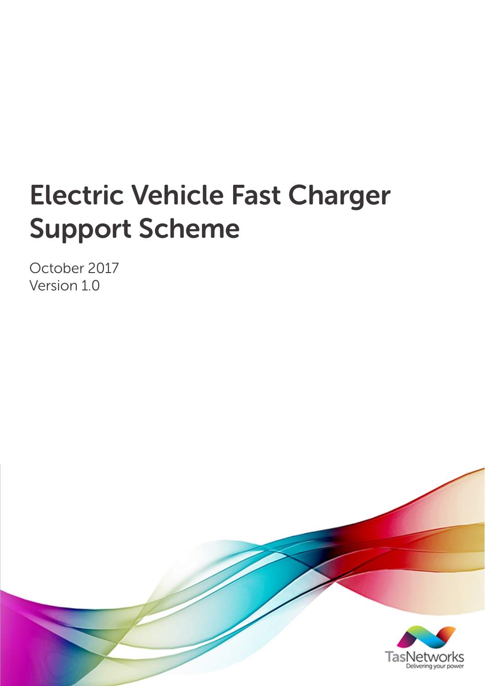# Electric Vehicle Fast Charger Support Scheme

October 2017 Version 1.0

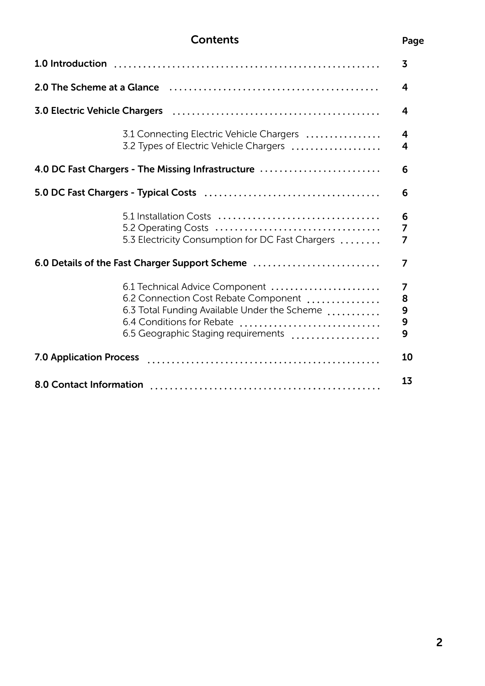### **Contents**

|                                                   |                                                                                                                                                                                            | 3                     |
|---------------------------------------------------|--------------------------------------------------------------------------------------------------------------------------------------------------------------------------------------------|-----------------------|
|                                                   | 2.0 The Scheme at a Glance (allotteractive content to the Scheme of Aller                                                                                                                  | 4                     |
|                                                   |                                                                                                                                                                                            | 4                     |
|                                                   | 3.1 Connecting Electric Vehicle Chargers<br>3.2 Types of Electric Vehicle Chargers                                                                                                         | 4<br>4                |
| 4.0 DC Fast Chargers - The Missing Infrastructure |                                                                                                                                                                                            | 6                     |
|                                                   |                                                                                                                                                                                            | 6                     |
|                                                   | 5.3 Electricity Consumption for DC Fast Chargers                                                                                                                                           | 6<br>7<br>7           |
| 6.0 Details of the Fast Charger Support Scheme    |                                                                                                                                                                                            | 7                     |
|                                                   | 6.1 Technical Advice Component<br>6.2 Connection Cost Rebate Component<br>6.3 Total Funding Available Under the Scheme<br>6.4 Conditions for Rebate<br>6.5 Geographic Staging requirements | 7<br>8<br>9<br>9<br>9 |
| <b>7.0 Application Process</b>                    |                                                                                                                                                                                            | 10                    |
|                                                   |                                                                                                                                                                                            | 13                    |

#### Page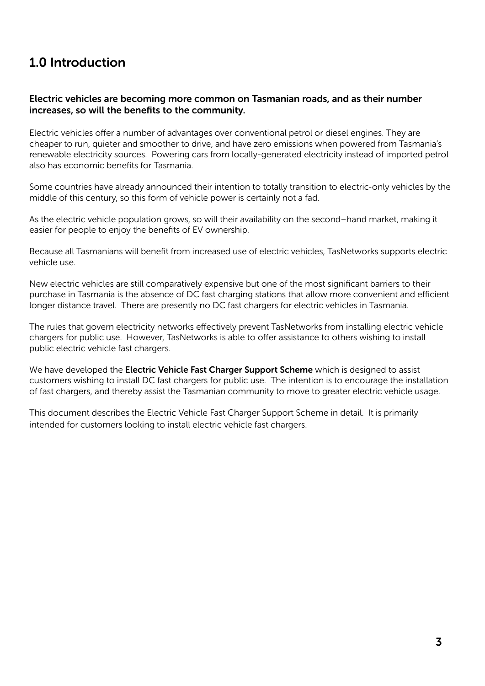## 1.0 Introduction

#### Electric vehicles are becoming more common on Tasmanian roads, and as their number increases, so will the benefits to the community.

Electric vehicles offer a number of advantages over conventional petrol or diesel engines. They are cheaper to run, quieter and smoother to drive, and have zero emissions when powered from Tasmania's renewable electricity sources. Powering cars from locally-generated electricity instead of imported petrol also has economic benefits for Tasmania.

Some countries have already announced their intention to totally transition to electric-only vehicles by the middle of this century, so this form of vehicle power is certainly not a fad.

As the electric vehicle population grows, so will their availability on the second–hand market, making it easier for people to enjoy the benefits of EV ownership.

Because all Tasmanians will benefit from increased use of electric vehicles, TasNetworks supports electric vehicle use.

New electric vehicles are still comparatively expensive but one of the most significant barriers to their purchase in Tasmania is the absence of DC fast charging stations that allow more convenient and efficient longer distance travel. There are presently no DC fast chargers for electric vehicles in Tasmania.

The rules that govern electricity networks effectively prevent TasNetworks from installing electric vehicle chargers for public use. However, TasNetworks is able to offer assistance to others wishing to install public electric vehicle fast chargers.

We have developed the Electric Vehicle Fast Charger Support Scheme which is designed to assist customers wishing to install DC fast chargers for public use. The intention is to encourage the installation of fast chargers, and thereby assist the Tasmanian community to move to greater electric vehicle usage.

This document describes the Electric Vehicle Fast Charger Support Scheme in detail. It is primarily intended for customers looking to install electric vehicle fast chargers.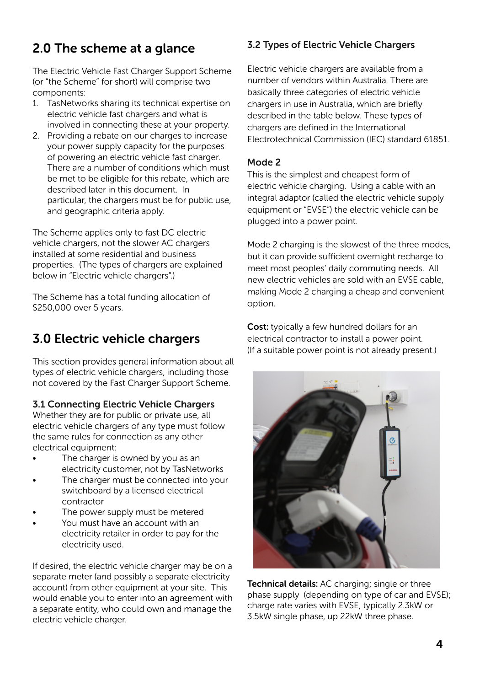## 2.0 The scheme at a glance

The Electric Vehicle Fast Charger Support Scheme (or "the Scheme" for short) will comprise two components:

- 1. TasNetworks sharing its technical expertise on electric vehicle fast chargers and what is involved in connecting these at your property.
- 2. Providing a rebate on our charges to increase your power supply capacity for the purposes of powering an electric vehicle fast charger. There are a number of conditions which must be met to be eligible for this rebate, which are described later in this document. In particular, the chargers must be for public use, and geographic criteria apply.

The Scheme applies only to fast DC electric vehicle chargers, not the slower AC chargers installed at some residential and business properties. (The types of chargers are explained below in "Electric vehicle chargers".)

The Scheme has a total funding allocation of \$250,000 over 5 years.

## 3.0 Electric vehicle chargers

This section provides general information about all types of electric vehicle chargers, including those not covered by the Fast Charger Support Scheme.

#### 3.1 Connecting Electric Vehicle Chargers

Whether they are for public or private use, all electric vehicle chargers of any type must follow the same rules for connection as any other electrical equipment:

- The charger is owned by you as an electricity customer, not by TasNetworks
- The charger must be connected into your switchboard by a licensed electrical contractor
- The power supply must be metered
- You must have an account with an electricity retailer in order to pay for the electricity used.

If desired, the electric vehicle charger may be on a separate meter (and possibly a separate electricity account) from other equipment at your site. This would enable you to enter into an agreement with a separate entity, who could own and manage the electric vehicle charger.

#### 3.2 Types of Electric Vehicle Chargers

Electric vehicle chargers are available from a number of vendors within Australia. There are basically three categories of electric vehicle chargers in use in Australia, which are briefly described in the table below. These types of chargers are defined in the International Electrotechnical Commission (IEC) standard 61851.

#### Mode 2

This is the simplest and cheapest form of electric vehicle charging. Using a cable with an integral adaptor (called the electric vehicle supply equipment or "EVSE") the electric vehicle can be plugged into a power point.

Mode 2 charging is the slowest of the three modes, but it can provide sufficient overnight recharge to meet most peoples' daily commuting needs. All new electric vehicles are sold with an EVSE cable, making Mode 2 charging a cheap and convenient option.

**Cost:** typically a few hundred dollars for an electrical contractor to install a power point. (If a suitable power point is not already present.)



Technical details: AC charging; single or three phase supply (depending on type of car and EVSE); charge rate varies with EVSE, typically 2.3kW or 3.5kW single phase, up 22kW three phase.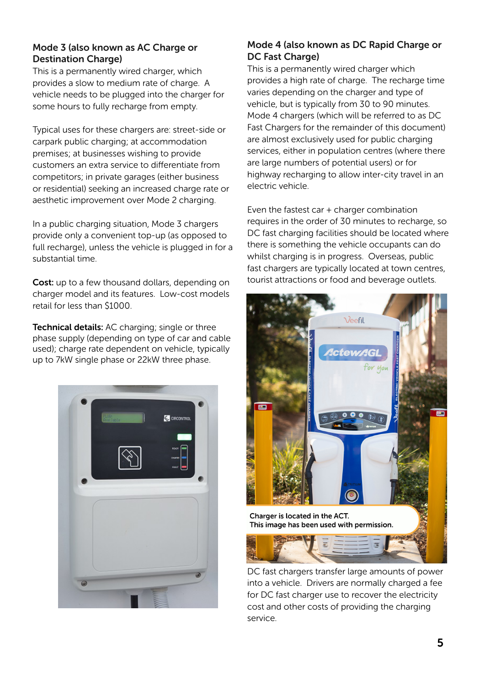#### Mode 3 (also known as AC Charge or Destination Charge)

This is a permanently wired charger, which provides a slow to medium rate of charge. A vehicle needs to be plugged into the charger for some hours to fully recharge from empty.

Typical uses for these chargers are: street-side or carpark public charging; at accommodation premises; at businesses wishing to provide customers an extra service to differentiate from competitors; in private garages (either business or residential) seeking an increased charge rate or aesthetic improvement over Mode 2 charging.

In a public charging situation, Mode 3 chargers provide only a convenient top-up (as opposed to full recharge), unless the vehicle is plugged in for a substantial time.

Cost: up to a few thousand dollars, depending on charger model and its features. Low-cost models retail for less than \$1000.

**Technical details:** AC charging; single or three phase supply (depending on type of car and cable used); charge rate dependent on vehicle, typically up to 7kW single phase or 22kW three phase.



#### Mode 4 (also known as DC Rapid Charge or DC Fast Charge)

This is a permanently wired charger which provides a high rate of charge. The recharge time varies depending on the charger and type of vehicle, but is typically from 30 to 90 minutes. Mode 4 chargers (which will be referred to as DC Fast Chargers for the remainder of this document) are almost exclusively used for public charging services, either in population centres (where there are large numbers of potential users) or for highway recharging to allow inter-city travel in an electric vehicle.

Even the fastest car + charger combination requires in the order of 30 minutes to recharge, so DC fast charging facilities should be located where there is something the vehicle occupants can do whilst charging is in progress. Overseas, public fast chargers are typically located at town centres, tourist attractions or food and beverage outlets.



DC fast chargers transfer large amounts of power into a vehicle. Drivers are normally charged a fee for DC fast charger use to recover the electricity cost and other costs of providing the charging service.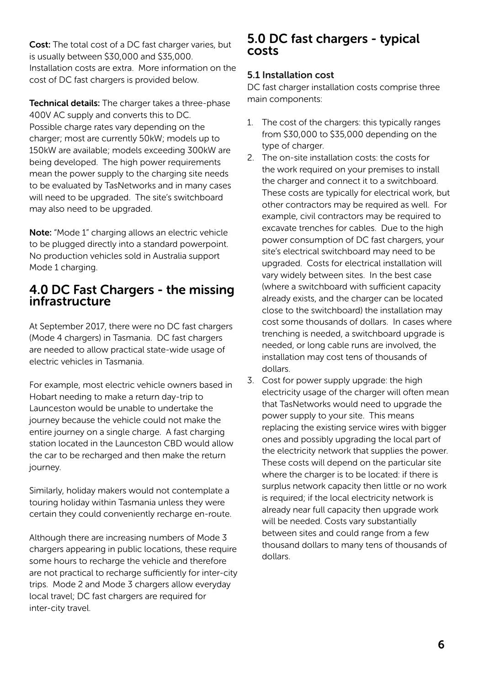Cost: The total cost of a DC fast charger varies, but is usually between \$30,000 and \$35,000. Installation costs are extra. More information on the cost of DC fast chargers is provided below.

Technical details: The charger takes a three-phase 400V AC supply and converts this to DC. Possible charge rates vary depending on the charger; most are currently 50kW; models up to 150kW are available; models exceeding 300kW are being developed. The high power requirements mean the power supply to the charging site needs to be evaluated by TasNetworks and in many cases will need to be upgraded. The site's switchboard may also need to be upgraded.

Note: "Mode 1" charging allows an electric vehicle to be plugged directly into a standard powerpoint. No production vehicles sold in Australia support Mode 1 charging.

## 4.0 DC Fast Chargers - the missing infrastructure

At September 2017, there were no DC fast chargers (Mode 4 chargers) in Tasmania. DC fast chargers are needed to allow practical state-wide usage of electric vehicles in Tasmania.

For example, most electric vehicle owners based in Hobart needing to make a return day-trip to Launceston would be unable to undertake the journey because the vehicle could not make the entire journey on a single charge. A fast charging station located in the Launceston CBD would allow the car to be recharged and then make the return journey.

Similarly, holiday makers would not contemplate a touring holiday within Tasmania unless they were certain they could conveniently recharge en-route.

Although there are increasing numbers of Mode 3 chargers appearing in public locations, these require some hours to recharge the vehicle and therefore are not practical to recharge sufficiently for inter-city trips. Mode 2 and Mode 3 chargers allow everyday local travel; DC fast chargers are required for inter-city travel.

#### 5.0 DC fast chargers - typical costs

#### 5.1 Installation cost

DC fast charger installation costs comprise three main components:

- 1. The cost of the chargers: this typically ranges from \$30,000 to \$35,000 depending on the type of charger.
- 2. The on-site installation costs: the costs for the work required on your premises to install the charger and connect it to a switchboard. These costs are typically for electrical work, but other contractors may be required as well. For example, civil contractors may be required to excavate trenches for cables. Due to the high power consumption of DC fast chargers, your site's electrical switchboard may need to be upgraded. Costs for electrical installation will vary widely between sites. In the best case (where a switchboard with sufficient capacity already exists, and the charger can be located close to the switchboard) the installation may cost some thousands of dollars. In cases where trenching is needed, a switchboard upgrade is needed, or long cable runs are involved, the installation may cost tens of thousands of dollars.
- 3. Cost for power supply upgrade: the high electricity usage of the charger will often mean that TasNetworks would need to upgrade the power supply to your site. This means replacing the existing service wires with bigger ones and possibly upgrading the local part of the electricity network that supplies the power. These costs will depend on the particular site where the charger is to be located: if there is surplus network capacity then little or no work is required; if the local electricity network is already near full capacity then upgrade work will be needed. Costs vary substantially between sites and could range from a few thousand dollars to many tens of thousands of dollars.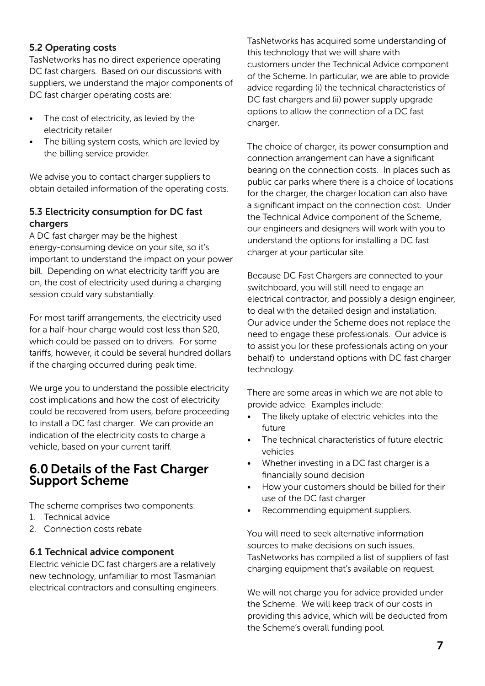#### 5.2 Operating costs

TasNetworks has no direct experience operating DC fast chargers. Based on our discussions with suppliers, we understand the major components of DC fast charger operating costs are:

- The cost of electricity, as levied by the electricity retailer
- The billing system costs, which are levied by the billing service provider.

We advise you to contact charger suppliers to obtain detailed information of the operating costs.

#### 5.3 Electricity consumption for DC fast chargers

A DC fast charger may be the highest energy-consuming device on your site, so it's important to understand the impact on your power bill. Depending on what electricity tariff you are on, the cost of electricity used during a charging session could vary substantially.

For most tariff arrangements, the electricity used for a half-hour charge would cost less than \$20, which could be passed on to drivers. For some tariffs, however, it could be several hundred dollars if the charging occurred during peak time.

We urge you to understand the possible electricity cost implications and how the cost of electricity could be recovered from users, before proceeding to install a DC fast charger. We can provide an indication of the electricity costs to charge a vehicle, based on your current tariff.

## 6.0 Details of the Fast Charger Support Scheme

The scheme comprises two components:

- 1. Technical advice
- 2. Connection costs rebate

#### 6.1 Technical advice component

Electric vehicle DC fast chargers are a relatively new technology, unfamiliar to most Tasmanian electrical contractors and consulting engineers. TasNetworks has acquired some understanding of this technology that we will share with customers under the Technical Advice component of the Scheme. In particular, we are able to provide advice regarding (i) the technical characteristics of DC fast chargers and (ii) power supply upgrade options to allow the connection of a DC fast charger.

The choice of charger, its power consumption and connection arrangement can have a significant bearing on the connection costs. In places such as public car parks where there is a choice of locations for the charger, the charger location can also have a significant impact on the connection cost. Under the Technical Advice component of the Scheme, our engineers and designers will work with you to understand the options for installing a DC fast charger at your particular site.

Because DC Fast Chargers are connected to your switchboard, you will still need to engage an electrical contractor, and possibly a design engineer, to deal with the detailed design and installation. Our advice under the Scheme does not replace the need to engage these professionals. Our advice is to assist you (or these professionals acting on your behalf) to understand options with DC fast charger technology.

There are some areas in which we are not able to provide advice. Examples include:

- The likely uptake of electric vehicles into the future
- The technical characteristics of future electric vehicles
- Whether investing in a DC fast charger is a financially sound decision
- How your customers should be billed for their use of the DC fast charger
- Recommending equipment suppliers.

You will need to seek alternative information sources to make decisions on such issues. TasNetworks has compiled a list of suppliers of fast charging equipment that's available on request.

We will not charge you for advice provided under the Scheme. We will keep track of our costs in providing this advice, which will be deducted from the Scheme's overall funding pool.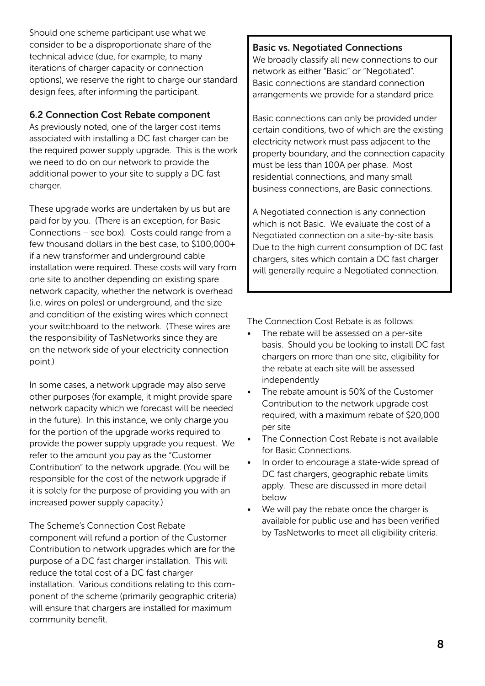Should one scheme participant use what we consider to be a disproportionate share of the technical advice (due, for example, to many iterations of charger capacity or connection options), we reserve the right to charge our standard design fees, after informing the participant.

#### 6.2 Connection Cost Rebate component

As previously noted, one of the larger cost items associated with installing a DC fast charger can be the required power supply upgrade. This is the work we need to do on our network to provide the additional power to your site to supply a DC fast charger.

These upgrade works are undertaken by us but are paid for by you. (There is an exception, for Basic Connections – see box). Costs could range from a few thousand dollars in the best case, to \$100,000+ if a new transformer and underground cable installation were required. These costs will vary from one site to another depending on existing spare network capacity, whether the network is overhead (i.e. wires on poles) or underground, and the size and condition of the existing wires which connect your switchboard to the network. (These wires are the responsibility of TasNetworks since they are on the network side of your electricity connection point.)

In some cases, a network upgrade may also serve other purposes (for example, it might provide spare network capacity which we forecast will be needed in the future). In this instance, we only charge you for the portion of the upgrade works required to provide the power supply upgrade you request. We refer to the amount you pay as the "Customer Contribution" to the network upgrade. (You will be responsible for the cost of the network upgrade if it is solely for the purpose of providing you with an increased power supply capacity.)

The Scheme's Connection Cost Rebate component will refund a portion of the Customer Contribution to network upgrades which are for the purpose of a DC fast charger installation. This will reduce the total cost of a DC fast charger installation. Various conditions relating to this component of the scheme (primarily geographic criteria) will ensure that chargers are installed for maximum community benefit.

#### Basic vs. Negotiated Connections

We broadly classify all new connections to our network as either "Basic" or "Negotiated". Basic connections are standard connection arrangements we provide for a standard price.

Basic connections can only be provided under certain conditions, two of which are the existing electricity network must pass adjacent to the property boundary, and the connection capacity must be less than 100A per phase. Most residential connections, and many small business connections, are Basic connections.

A Negotiated connection is any connection which is not Basic. We evaluate the cost of a Negotiated connection on a site-by-site basis. Due to the high current consumption of DC fast chargers, sites which contain a DC fast charger will generally require a Negotiated connection.

The Connection Cost Rebate is as follows:

- The rebate will be assessed on a per-site basis. Should you be looking to install DC fast chargers on more than one site, eligibility for the rebate at each site will be assessed independently
- The rebate amount is 50% of the Customer Contribution to the network upgrade cost required, with a maximum rebate of \$20,000 per site
- The Connection Cost Rebate is not available for Basic Connections.
- In order to encourage a state-wide spread of DC fast chargers, geographic rebate limits apply. These are discussed in more detail below
- We will pay the rebate once the charger is available for public use and has been verified by TasNetworks to meet all eligibility criteria.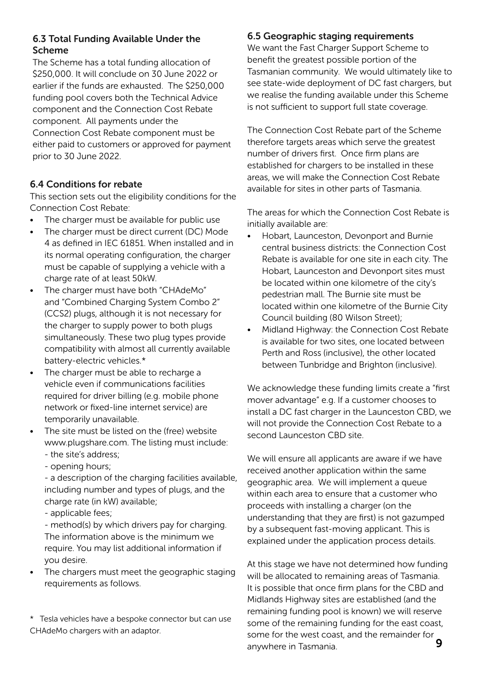#### 6.3 Total Funding Available Under the Scheme

The Scheme has a total funding allocation of \$250,000. It will conclude on 30 June 2022 or earlier if the funds are exhausted. The \$250,000 funding pool covers both the Technical Advice component and the Connection Cost Rebate component. All payments under the

Connection Cost Rebate component must be either paid to customers or approved for payment prior to 30 June 2022.

#### 6.4 Conditions for rebate

This section sets out the eligibility conditions for the Connection Cost Rebate:

- The charger must be available for public use
- The charger must be direct current (DC) Mode 4 as defined in IEC 61851. When installed and in its normal operating configuration, the charger must be capable of supplying a vehicle with a charge rate of at least 50kW.
- The charger must have both "CHAdeMo" and "Combined Charging System Combo 2" (CCS2) plugs, although it is not necessary for the charger to supply power to both plugs simultaneously. These two plug types provide compatibility with almost all currently available battery-electric vehicles.\*
- The charger must be able to recharge a vehicle even if communications facilities required for driver billing (e.g. mobile phone network or fixed-line internet service) are temporarily unavailable.
- The site must be listed on the (free) website www.plugshare.com. The listing must include: - the site's address;
	- opening hours;

- a description of the charging facilities available, including number and types of plugs, and the charge rate (in kW) available;

- applicable fees;

- method(s) by which drivers pay for charging. The information above is the minimum we require. You may list additional information if you desire.

The chargers must meet the geographic staging requirements as follows.

\* Tesla vehicles have a bespoke connector but can use CHAdeMo chargers with an adaptor.

#### 6.5 Geographic staging requirements

We want the Fast Charger Support Scheme to benefit the greatest possible portion of the Tasmanian community. We would ultimately like to see state-wide deployment of DC fast chargers, but we realise the funding available under this Scheme is not sufficient to support full state coverage.

The Connection Cost Rebate part of the Scheme therefore targets areas which serve the greatest number of drivers first. Once firm plans are established for chargers to be installed in these areas, we will make the Connection Cost Rebate available for sites in other parts of Tasmania.

The areas for which the Connection Cost Rebate is initially available are:

- Hobart, Launceston, Devonport and Burnie central business districts: the Connection Cost Rebate is available for one site in each city. The Hobart, Launceston and Devonport sites must be located within one kilometre of the city's pedestrian mall. The Burnie site must be located within one kilometre of the Burnie City Council building (80 Wilson Street);
- Midland Highway: the Connection Cost Rebate is available for two sites, one located between Perth and Ross (inclusive), the other located between Tunbridge and Brighton (inclusive).

We acknowledge these funding limits create a "first mover advantage" e.g. If a customer chooses to install a DC fast charger in the Launceston CBD, we will not provide the Connection Cost Rebate to a second Launceston CBD site.

We will ensure all applicants are aware if we have received another application within the same geographic area. We will implement a queue within each area to ensure that a customer who proceeds with installing a charger (on the understanding that they are first) is not gazumped by a subsequent fast-moving applicant. This is explained under the application process details.

At this stage we have not determined how funding will be allocated to remaining areas of Tasmania. It is possible that once firm plans for the CBD and Midlands Highway sites are established (and the remaining funding pool is known) we will reserve some of the remaining funding for the east coast, some for the west coast, and the remainder for anywhere in Tasmania. 9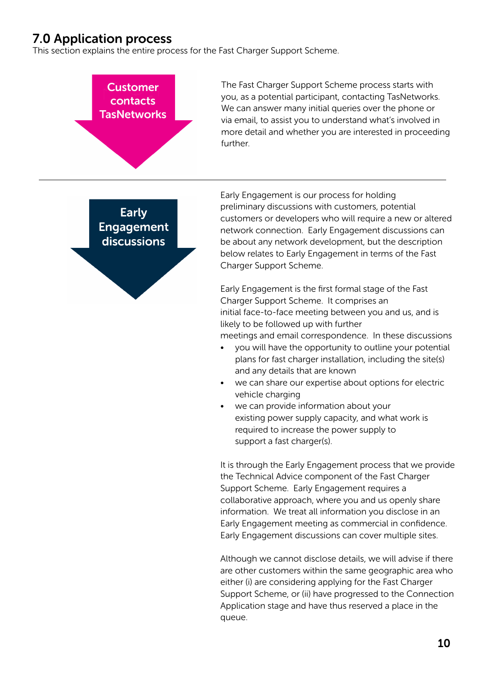## 7.0 Application process

This section explains the entire process for the Fast Charger Support Scheme.



The Fast Charger Support Scheme process starts with you, as a potential participant, contacting TasNetworks. We can answer many initial queries over the phone or via email, to assist you to understand what's involved in more detail and whether you are interested in proceeding further.

**Early Engagement** discussions

Early Engagement is our process for holding preliminary discussions with customers, potential customers or developers who will require a new or altered network connection. Early Engagement discussions can be about any network development, but the description below relates to Early Engagement in terms of the Fast Charger Support Scheme.

Early Engagement is the first formal stage of the Fast Charger Support Scheme. It comprises an initial face-to-face meeting between you and us, and is likely to be followed up with further meetings and email correspondence. In these discussions

- you will have the opportunity to outline your potential plans for fast charger installation, including the site(s) and any details that are known
- we can share our expertise about options for electric vehicle charging
- we can provide information about your existing power supply capacity, and what work is required to increase the power supply to support a fast charger(s).

It is through the Early Engagement process that we provide the Technical Advice component of the Fast Charger Support Scheme. Early Engagement requires a collaborative approach, where you and us openly share information. We treat all information you disclose in an Early Engagement meeting as commercial in confidence. Early Engagement discussions can cover multiple sites.

Although we cannot disclose details, we will advise if there are other customers within the same geographic area who either (i) are considering applying for the Fast Charger Support Scheme, or (ii) have progressed to the Connection Application stage and have thus reserved a place in the queue.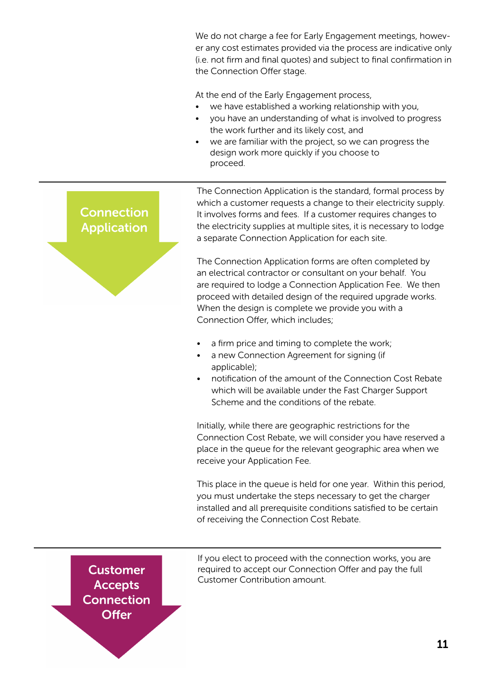We do not charge a fee for Early Engagement meetings, however any cost estimates provided via the process are indicative only (i.e. not firm and final quotes) and subject to final confirmation in the Connection Offer stage.

At the end of the Early Engagement process,

- we have established a working relationship with you,
- you have an understanding of what is involved to progress the work further and its likely cost, and
- we are familiar with the project, so we can progress the design work more quickly if you choose to proceed.

### **Connection Application**

The Connection Application is the standard, formal process by which a customer requests a change to their electricity supply. It involves forms and fees. If a customer requires changes to the electricity supplies at multiple sites, it is necessary to lodge a separate Connection Application for each site.

The Connection Application forms are often completed by an electrical contractor or consultant on your behalf. You are required to lodge a Connection Application Fee. We then proceed with detailed design of the required upgrade works. When the design is complete we provide you with a Connection Offer, which includes;

- a firm price and timing to complete the work;
- a new Connection Agreement for signing (if applicable);
- notification of the amount of the Connection Cost Rebate which will be available under the Fast Charger Support Scheme and the conditions of the rebate.

Initially, while there are geographic restrictions for the Connection Cost Rebate, we will consider you have reserved a place in the queue for the relevant geographic area when we receive your Application Fee.

This place in the queue is held for one year. Within this period, you must undertake the steps necessary to get the charger installed and all prerequisite conditions satisfied to be certain of receiving the Connection Cost Rebate.

**Customer Accepts Connection Offer** 

If you elect to proceed with the connection works, you are required to accept our Connection Offer and pay the full Customer Contribution amount.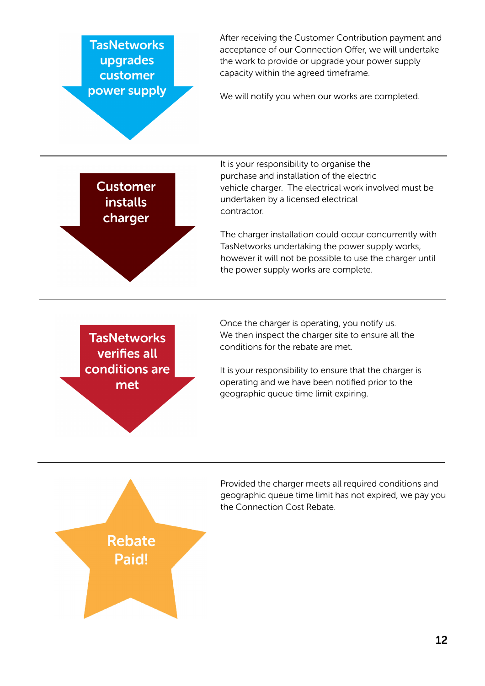**TasNetworks** upgrades customer power supply After receiving the Customer Contribution payment and acceptance of our Connection Offer, we will undertake the work to provide or upgrade your power supply capacity within the agreed timeframe.

We will notify you when our works are completed.

**Customer installs** charger

It is your responsibility to organise the purchase and installation of the electric vehicle charger. The electrical work involved must be undertaken by a licensed electrical contractor.

The charger installation could occur concurrently with TasNetworks undertaking the power supply works, however it will not be possible to use the charger until the power supply works are complete.

**TasNetworks** verifies all conditions are met

Once the charger is operating, you notify us. We then inspect the charger site to ensure all the conditions for the rebate are met.

It is your responsibility to ensure that the charger is operating and we have been notified prior to the geographic queue time limit expiring.



Provided the charger meets all required conditions and geographic queue time limit has not expired, we pay you the Connection Cost Rebate.